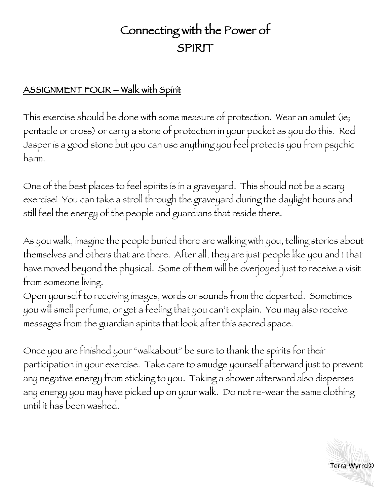## Connecting with the Power of SPIRIT

## ASSIGNMENT FOUR - Walk with Spirit

This exercise should be done with some measure of protection. Wear an amulet (ie; pentacle or cross) or carry a stone of protection in your pocket as you do this. Red Jasper is a good stone but you can use anything you feel protects you from psychic harm.

One of the best places to feel spirits is in a graveyard. This should not be a scary exercise! You can take a stroll through the graveyard during the daylight hours and still feel the energy of the people and guardians that reside there.

As you walk, imagine the people buried there are walking with you, telling stories about themselves and others that are there. After all, they are just people like you and I that have moved beyond the physical. Some of them will be overjoyed just to receive a visit from someone living.

Open yourself to receiving images, words or sounds from the departed. Sometimes you will smell perfume, or get a feeling that you can't explain. You may also receive messages from the guardian spirits that look after this sacred space.

Once you are finished your "walkabout" be sure to thank the spirits for their participation in your exercise. Take care to smudge yourself afterward just to prevent any negative energy from sticking to you. Taking a shower afterward also disperses any energy you may have picked up on your walk. Do not re-wear the same clothing until it has been washed.